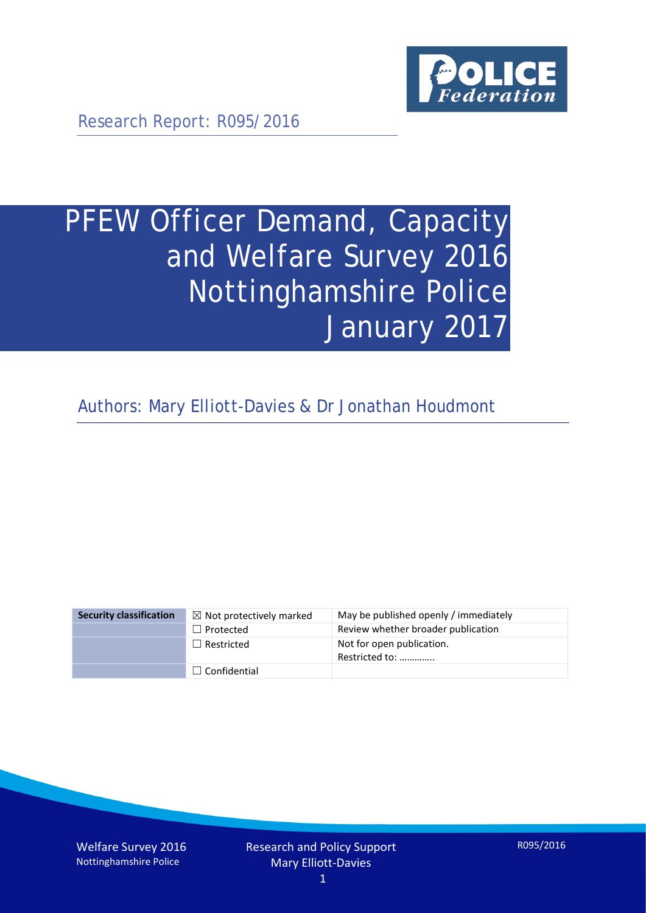

Research Report: R095/2016

# PFEW Officer Demand, Capacity and Welfare Survey 2016 Nottinghamshire Police January 2017

Authors: Mary Elliott-Davies & Dr Jonathan Houdmont

| <b>Security classification</b> | $\boxtimes$ Not protectively marked | May be published openly / immediately       |
|--------------------------------|-------------------------------------|---------------------------------------------|
|                                | $\Box$ Protected                    | Review whether broader publication          |
|                                | $\Box$ Restricted                   | Not for open publication.<br>Restricted to: |
|                                | $\Box$ Confidential                 |                                             |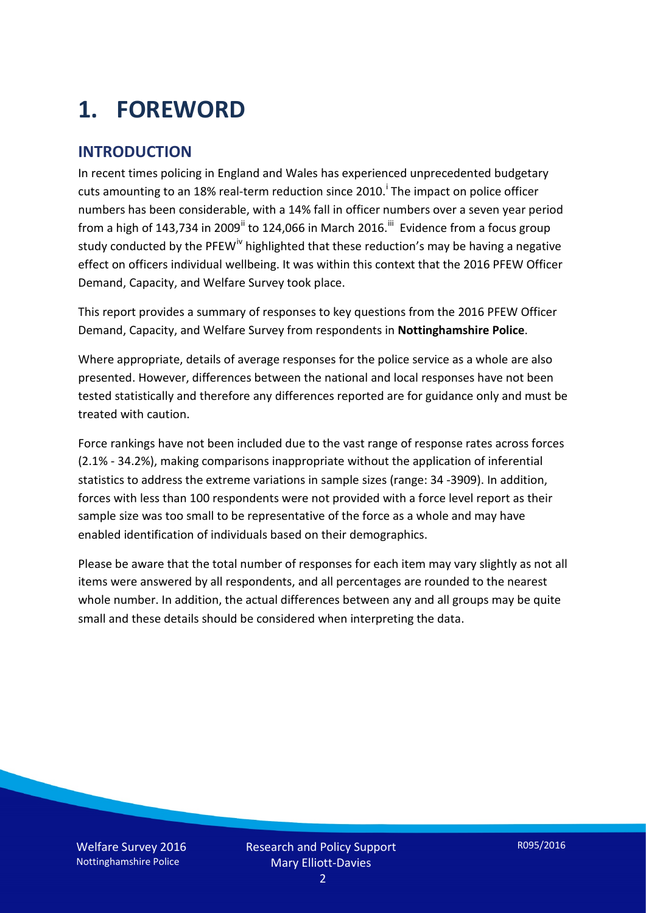# **1. FOREWORD**

#### **INTRODUCTION**

In recent times policing in England and Wales has experienced unprecedented budgetary cuts amount[i](#page-15-0)ng to an 18% real-term reduction since 2010.<sup>1</sup> The impact on police officer numbers has been considerable, with a 14% fall in officer numbers over a seven year period from a high of 143,734 in 2009<sup>[ii](#page-15-1)</sup> to 124,066 in March 2016.<sup>[iii](#page-15-2)</sup> Evidence from a focus group study conducted by the PFEW<sup>[iv](#page-15-3)</sup> highlighted that these reduction's may be having a negative effect on officers individual wellbeing. It was within this context that the 2016 PFEW Officer Demand, Capacity, and Welfare Survey took place.

This report provides a summary of responses to key questions from the 2016 PFEW Officer Demand, Capacity, and Welfare Survey from respondents in **Nottinghamshire Police**.

Where appropriate, details of average responses for the police service as a whole are also presented. However, differences between the national and local responses have not been tested statistically and therefore any differences reported are for guidance only and must be treated with caution.

Force rankings have not been included due to the vast range of response rates across forces (2.1% - 34.2%), making comparisons inappropriate without the application of inferential statistics to address the extreme variations in sample sizes (range: 34 -3909). In addition, forces with less than 100 respondents were not provided with a force level report as their sample size was too small to be representative of the force as a whole and may have enabled identification of individuals based on their demographics.

Please be aware that the total number of responses for each item may vary slightly as not all items were answered by all respondents, and all percentages are rounded to the nearest whole number. In addition, the actual differences between any and all groups may be quite small and these details should be considered when interpreting the data.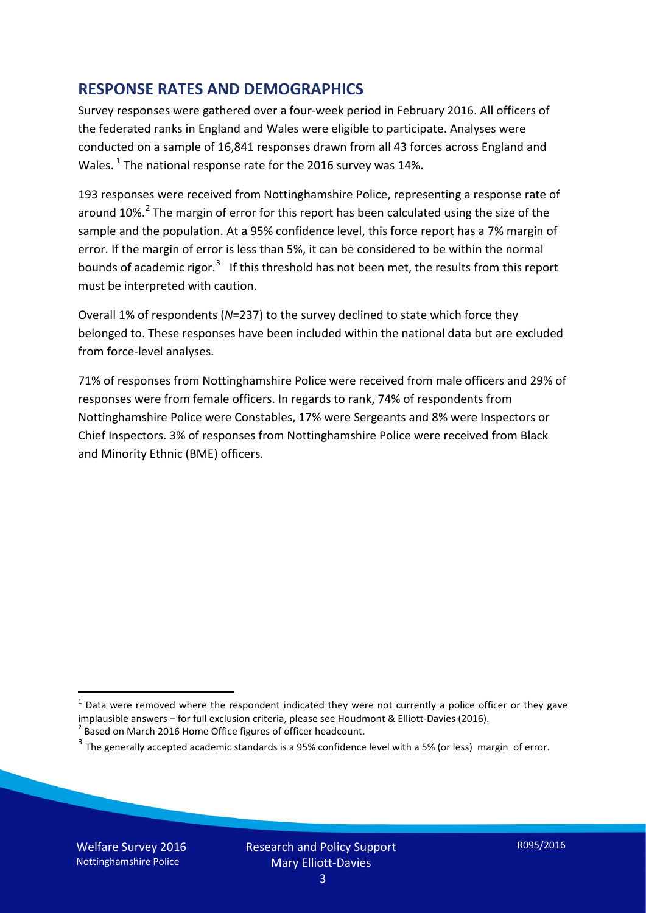#### **RESPONSE RATES AND DEMOGRAPHICS**

Survey responses were gathered over a four-week period in February 2016. All officers of the federated ranks in England and Wales were eligible to participate. Analyses were conducted on a sample of 16,841 responses drawn from all 43 forces across England and Wales.  $^1$  $^1$  The national response rate for the 2016 survey was 14%.

193 responses were received from Nottinghamshire Police, representing a response rate of around 10%.<sup>[2](#page-2-1)</sup> The margin of error for this report has been calculated using the size of the sample and the population. At a 95% confidence level, this force report has a 7% margin of error. If the margin of error is less than 5%, it can be considered to be within the normal bounds of academic rigor.<sup>[3](#page-2-2)</sup> If this threshold has not been met, the results from this report must be interpreted with caution.

Overall 1% of respondents (*N*=237) to the survey declined to state which force they belonged to. These responses have been included within the national data but are excluded from force-level analyses.

71% of responses from Nottinghamshire Police were received from male officers and 29% of responses were from female officers. In regards to rank, 74% of respondents from Nottinghamshire Police were Constables, 17% were Sergeants and 8% were Inspectors or Chief Inspectors. 3% of responses from Nottinghamshire Police were received from Black and Minority Ethnic (BME) officers.

-

<span id="page-2-0"></span> $1$  Data were removed where the respondent indicated they were not currently a police officer or they gave implausible answers – for full exclusion criteria, please see Houdmont & Elliott-Davies (2016).<br><sup>2</sup> Based on March 2016 Home Office figures of officer headcount.

<span id="page-2-1"></span>

<span id="page-2-2"></span> $3$  The generally accepted academic standards is a 95% confidence level with a 5% (or less) margin of error.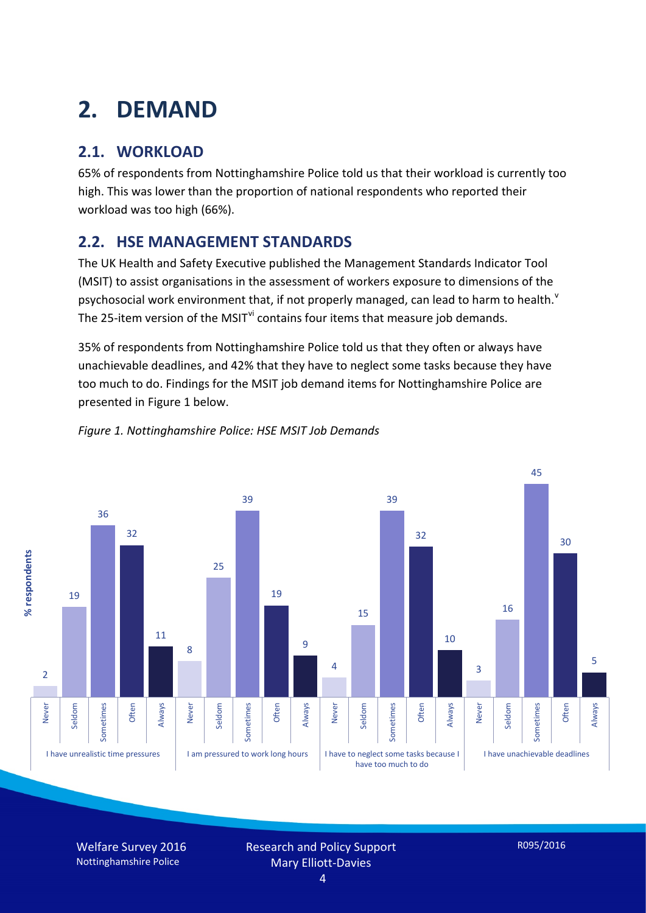# **2. DEMAND**

## **2.1. WORKLOAD**

65% of respondents from Nottinghamshire Police told us that their workload is currently too high. This was lower than the proportion of national respondents who reported their workload was too high (66%).

### **2.2. HSE MANAGEMENT STANDARDS**

The UK Health and Safety Executive published the Management Standards Indicator Tool (MSIT) to assist organisations in the assessment of workers exposure to dimensions of the psychosocial work en[v](#page-15-4)ironment that, if not properly managed, can lead to harm to health.<sup>v</sup> The 25-item version of the MSIT<sup>[vi](#page-15-5)</sup> contains four items that measure job demands.

35% of respondents from Nottinghamshire Police told us that they often or always have unachievable deadlines, and 42% that they have to neglect some tasks because they have too much to do. Findings for the MSIT job demand items for Nottinghamshire Police are presented in Figure 1 below.



#### *Figure 1. Nottinghamshire Police: HSE MSIT Job Demands*

Welfare Survey 2016 Nottinghamshire Police

Research and Policy Support Mary Elliott-Davies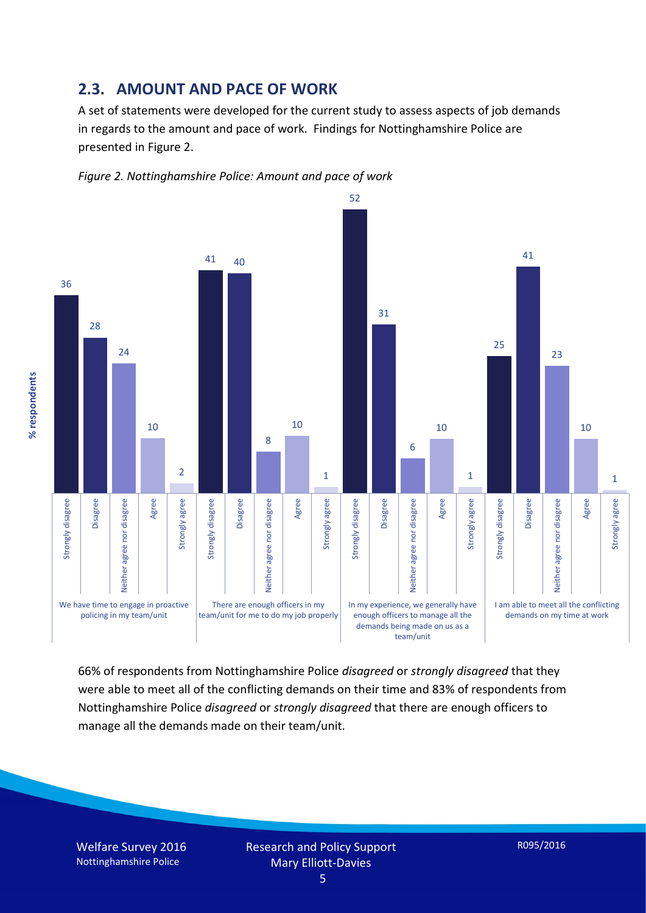#### **2.3. AMOUNT AND PACE OF WORK**

A set of statements were developed for the current study to assess aspects of job demands in regards to the amount and pace of work. Findings for Nottinghamshire Police are presented in Figure 2.





66% of respondents from Nottinghamshire Police *disagreed* or *strongly disagreed* that they were able to meet all of the conflicting demands on their time and 83% of respondents from Nottinghamshire Police *disagreed* or *strongly disagreed* that there are enough officers to manage all the demands made on their team/unit.

Welfare Survey 2016 Nottinghamshire Police

% respondents **% respondents**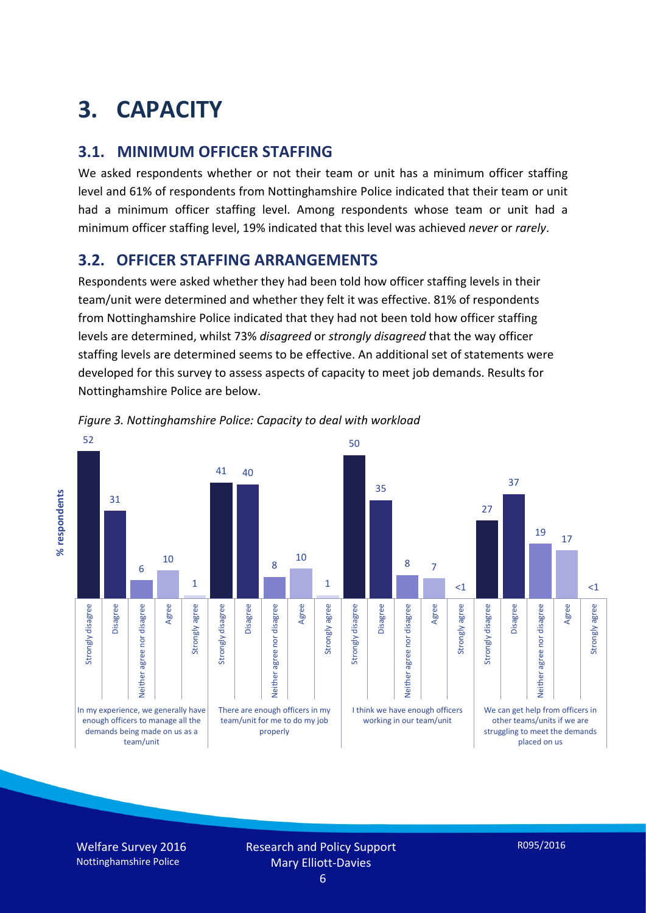# **3. CAPACITY**

#### **3.1. MINIMUM OFFICER STAFFING**

We asked respondents whether or not their team or unit has a minimum officer staffing level and 61% of respondents from Nottinghamshire Police indicated that their team or unit had a minimum officer staffing level. Among respondents whose team or unit had a minimum officer staffing level, 19% indicated that this level was achieved *never* or *rarely*.

#### **3.2. OFFICER STAFFING ARRANGEMENTS**

Respondents were asked whether they had been told how officer staffing levels in their team/unit were determined and whether they felt it was effective. 81% of respondents from Nottinghamshire Police indicated that they had not been told how officer staffing levels are determined, whilst 73% *disagreed* or *strongly disagreed* that the way officer staffing levels are determined seems to be effective. An additional set of statements were developed for this survey to assess aspects of capacity to meet job demands. Results for Nottinghamshire Police are below.



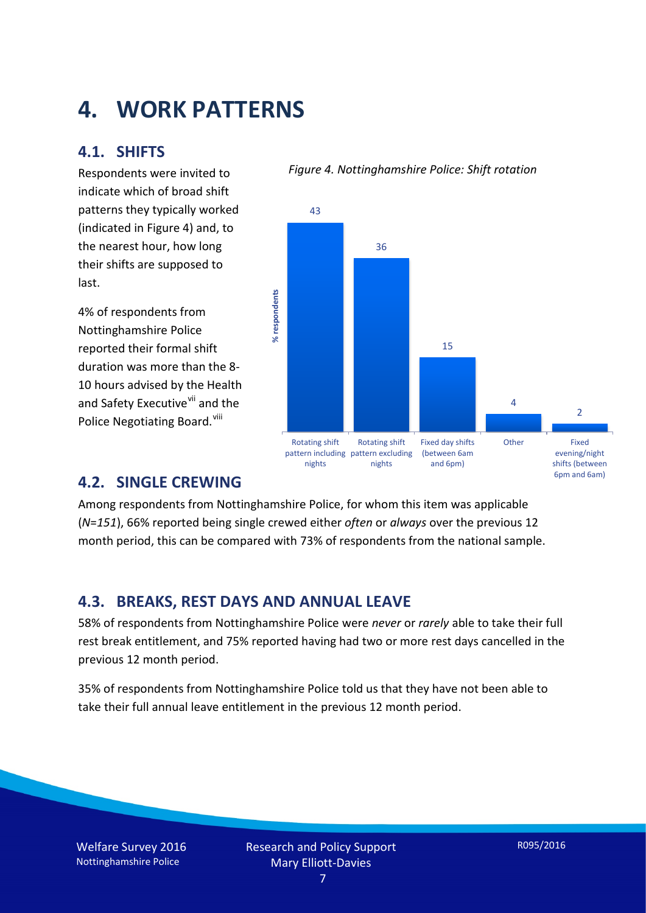## **4. WORK PATTERNS**

#### **4.1. SHIFTS**

Respondents were invited to indicate which of broad shift patterns they typically worked (indicated in Figure 4) and, to the nearest hour, how long their shifts are supposed to last.

4% of respondents from Nottinghamshire Police reported their formal shift duration was more than the 8- 10 hours advised by the Health and Safety Executive<sup>[vii](#page-15-6)</sup> and the Police Negotiating Board.<sup>[viii](#page-15-7)</sup>

#### *Figure 4. Nottinghamshire Police: Shift rotation*



#### **4.2. SINGLE CREWING**

Among respondents from Nottinghamshire Police, for whom this item was applicable (*N*=*151*), 66% reported being single crewed either *often* or *always* over the previous 12 month period, this can be compared with 73% of respondents from the national sample.

#### **4.3. BREAKS, REST DAYS AND ANNUAL LEAVE**

58% of respondents from Nottinghamshire Police were *never* or *rarely* able to take their full rest break entitlement, and 75% reported having had two or more rest days cancelled in the previous 12 month period.

35% of respondents from Nottinghamshire Police told us that they have not been able to take their full annual leave entitlement in the previous 12 month period.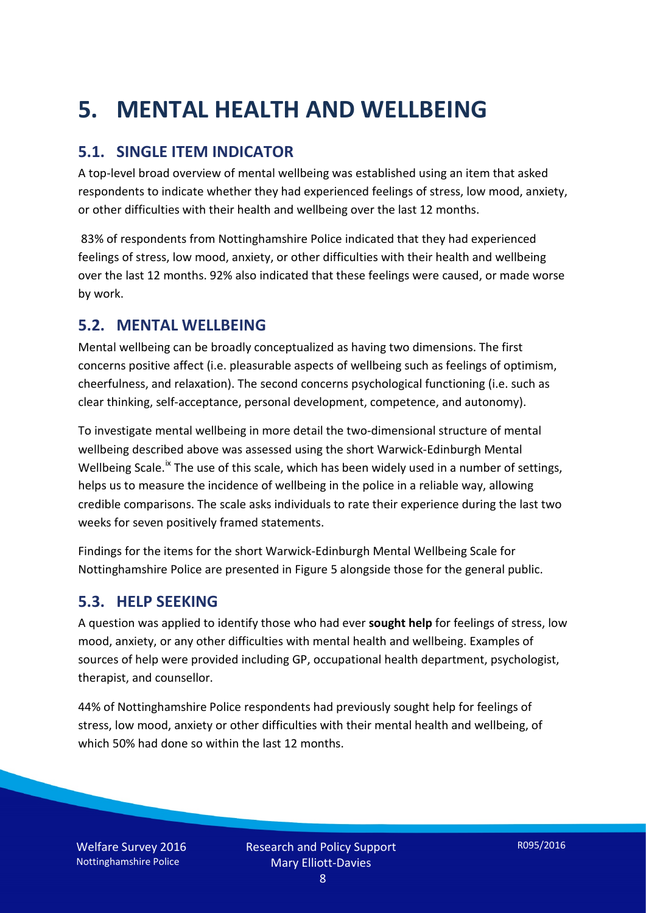# **5. MENTAL HEALTH AND WELLBEING**

### **5.1. SINGLE ITEM INDICATOR**

A top-level broad overview of mental wellbeing was established using an item that asked respondents to indicate whether they had experienced feelings of stress, low mood, anxiety, or other difficulties with their health and wellbeing over the last 12 months.

83% of respondents from Nottinghamshire Police indicated that they had experienced feelings of stress, low mood, anxiety, or other difficulties with their health and wellbeing over the last 12 months. 92% also indicated that these feelings were caused, or made worse by work.

#### **5.2. MENTAL WELLBEING**

Mental wellbeing can be broadly conceptualized as having two dimensions. The first concerns positive affect (i.e. pleasurable aspects of wellbeing such as feelings of optimism, cheerfulness, and relaxation). The second concerns psychological functioning (i.e. such as clear thinking, self-acceptance, personal development, competence, and autonomy).

To investigate mental wellbeing in more detail the two-dimensional structure of mental wellbeing described above was assessed using the short Warwick-Edinburgh Mental Wellbeing Scale.<sup>[ix](#page-15-8)</sup> The use of this scale, which has been widely used in a number of settings, helps us to measure the incidence of wellbeing in the police in a reliable way, allowing credible comparisons. The scale asks individuals to rate their experience during the last two weeks for seven positively framed statements.

Findings for the items for the short Warwick-Edinburgh Mental Wellbeing Scale for Nottinghamshire Police are presented in Figure 5 alongside those for the general public.

#### **5.3. HELP SEEKING**

A question was applied to identify those who had ever **sought help** for feelings of stress, low mood, anxiety, or any other difficulties with mental health and wellbeing. Examples of sources of help were provided including GP, occupational health department, psychologist, therapist, and counsellor.

44% of Nottinghamshire Police respondents had previously sought help for feelings of stress, low mood, anxiety or other difficulties with their mental health and wellbeing, of which 50% had done so within the last 12 months.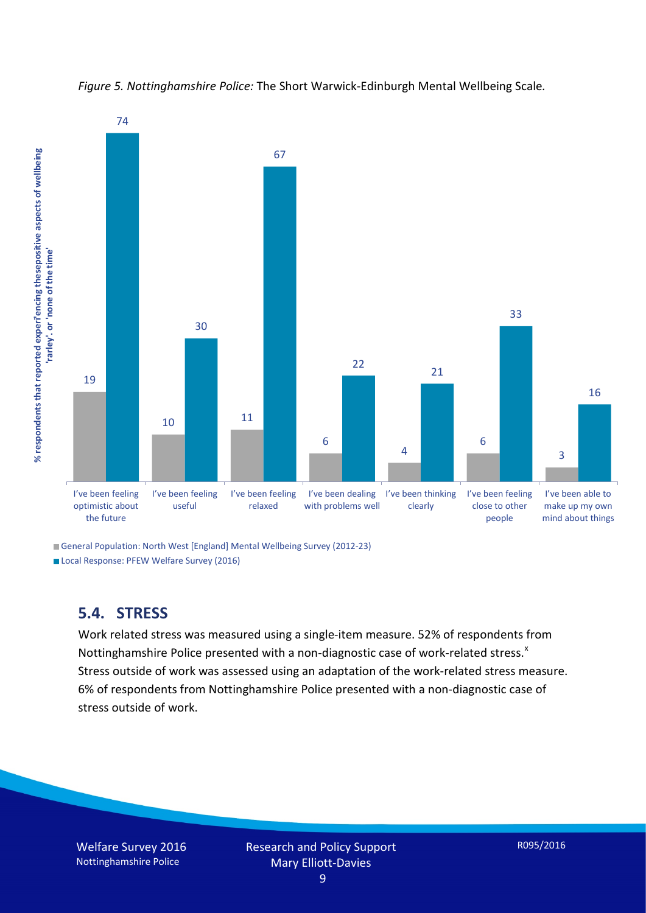

*Figure 5. Nottinghamshire Police:* The Short Warwick-Edinburgh Mental Wellbeing Scale*.*

General Population: North West [England] Mental Wellbeing Survey (2012-23)

Local Response: PFEW Welfare Survey (2016)

### **5.4. STRESS**

Work related stress was measured using a single-item measure. 52% of respondents from Nottinghamshire Police presented with a non-diagnostic case of work-related stress. $^{x}$  $^{x}$  $^{x}$ Stress outside of work was assessed using an adaptation of the work-related stress measure. 6% of respondents from Nottinghamshire Police presented with a non-diagnostic case of stress outside of work.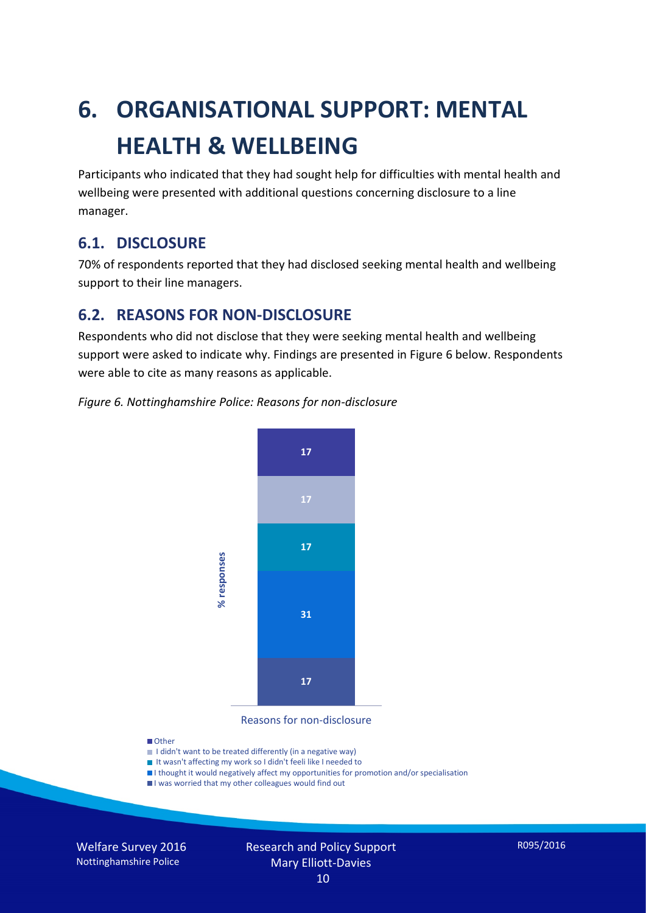# **6. ORGANISATIONAL SUPPORT: MENTAL HEALTH & WELLBEING**

Participants who indicated that they had sought help for difficulties with mental health and wellbeing were presented with additional questions concerning disclosure to a line manager.

#### **6.1. DISCLOSURE**

70% of respondents reported that they had disclosed seeking mental health and wellbeing support to their line managers.

#### **6.2. REASONS FOR NON-DISCLOSURE**

Respondents who did not disclose that they were seeking mental health and wellbeing support were asked to indicate why. Findings are presented in Figure 6 below. Respondents were able to cite as many reasons as applicable.

#### *Figure 6. Nottinghamshire Police: Reasons for non-disclosure*



Reasons for non-disclosure

#### **D**Other

- I didn't want to be treated differently (in a negative way)
- I It wasn't affecting my work so I didn't feeli like I needed to
- I thought it would negatively affect my opportunities for promotion and/or specialisation
- I was worried that my other colleagues would find out

Welfare Survey 2016 Nottinghamshire Police

## Research and Policy Support Mary Elliott-Davies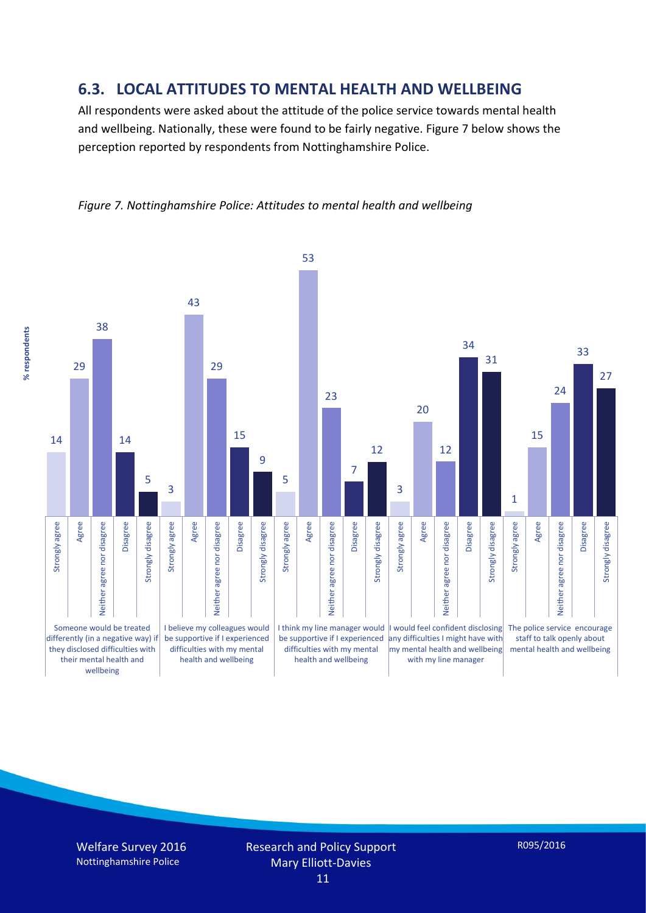#### **6.3. LOCAL ATTITUDES TO MENTAL HEALTH AND WELLBEING**

All respondents were asked about the attitude of the police service towards mental health and wellbeing. Nationally, these were found to be fairly negative. Figure 7 below shows the perception reported by respondents from Nottinghamshire Police.

*Figure 7. Nottinghamshire Police: Attitudes to mental health and wellbeing*

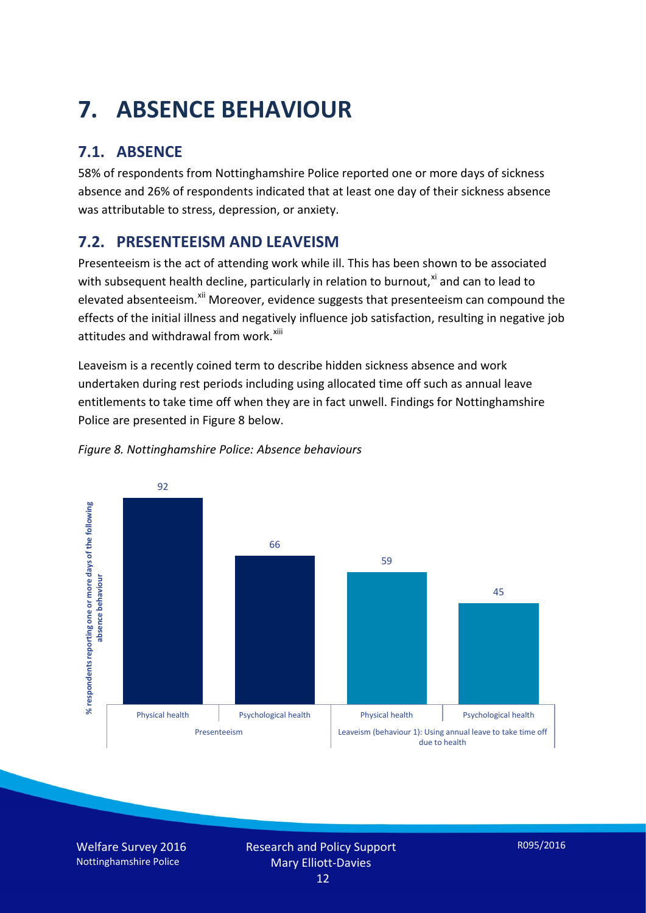# **7. ABSENCE BEHAVIOUR**

## **7.1. ABSENCE**

58% of respondents from Nottinghamshire Police reported one or more days of sickness absence and 26% of respondents indicated that at least one day of their sickness absence was attributable to stress, depression, or anxiety.

## **7.2. PRESENTEEISM AND LEAVEISM**

Presenteeism is the act of attending work while ill. This has been shown to be associated with subsequent health decline, particularly in relation to burnout, $x_i$  and can to lead to elevated absenteeism.<sup>[xii](#page-16-1)</sup> Moreover, evidence suggests that presenteeism can compound the effects of the initial illness and negatively influence job satisfaction, resulting in negative job attitudes and withdrawal from work.<sup>[xiii](#page-16-2)</sup>

Leaveism is a recently coined term to describe hidden sickness absence and work undertaken during rest periods including using allocated time off such as annual leave entitlements to take time off when they are in fact unwell. Findings for Nottinghamshire Police are presented in Figure 8 below.



#### *Figure 8. Nottinghamshire Police: Absence behaviours*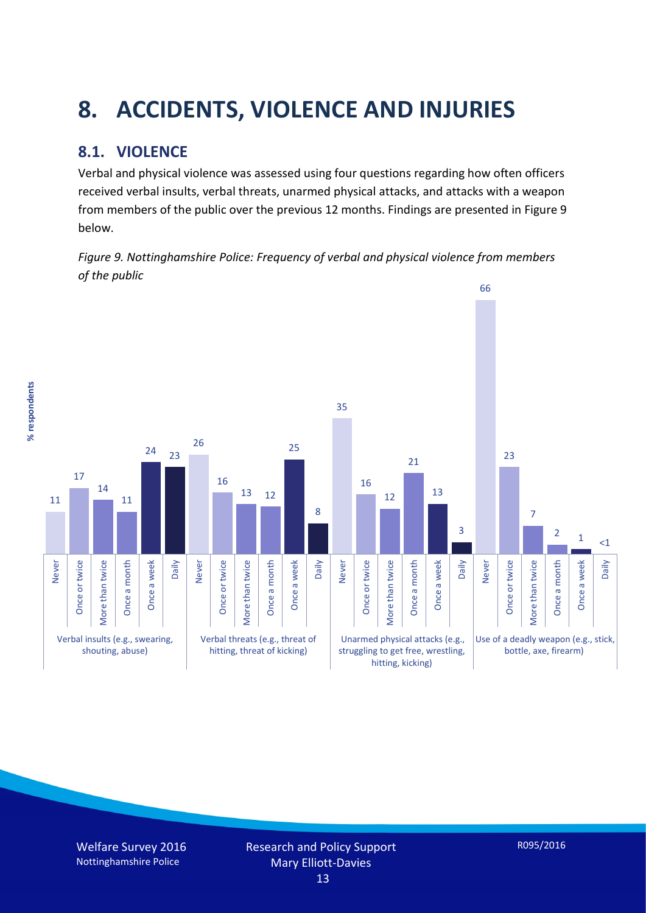# **8. ACCIDENTS, VIOLENCE AND INJURIES**

## **8.1. VIOLENCE**

% respondents **% respondents** Verbal and physical violence was assessed using four questions regarding how often officers received verbal insults, verbal threats, unarmed physical attacks, and attacks with a weapon from members of the public over the previous 12 months. Findings are presented in Figure 9 below.

*Figure 9. Nottinghamshire Police: Frequency of verbal and physical violence from members of the public*



Welfare Survey 2016 Nottinghamshire Police

R095/2016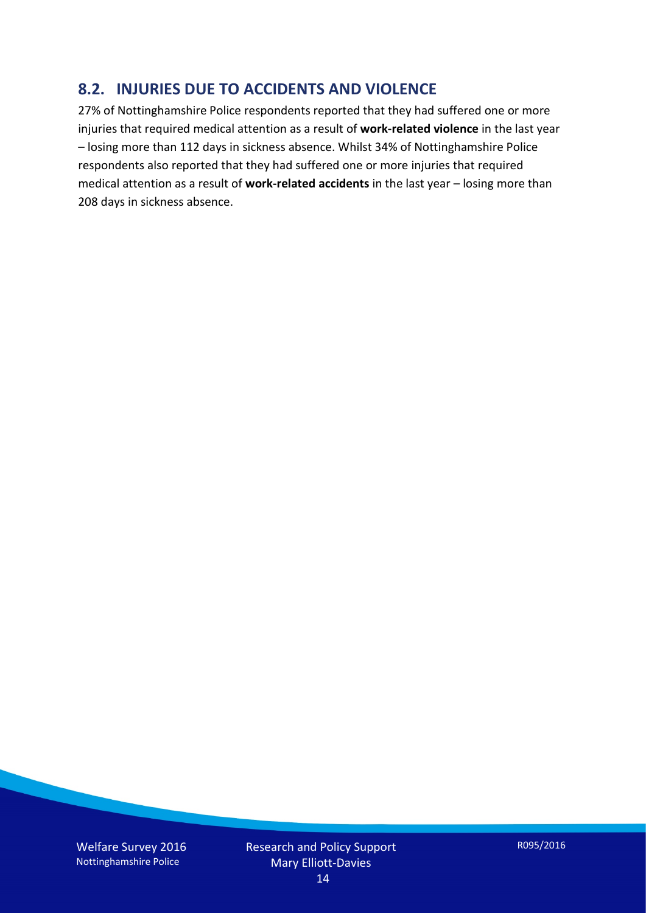#### **8.2. INJURIES DUE TO ACCIDENTS AND VIOLENCE**

27% of Nottinghamshire Police respondents reported that they had suffered one or more injuries that required medical attention as a result of **work-related violence** in the last year – losing more than 112 days in sickness absence. Whilst 34% of Nottinghamshire Police respondents also reported that they had suffered one or more injuries that required medical attention as a result of **work-related accidents** in the last year – losing more than 208 days in sickness absence.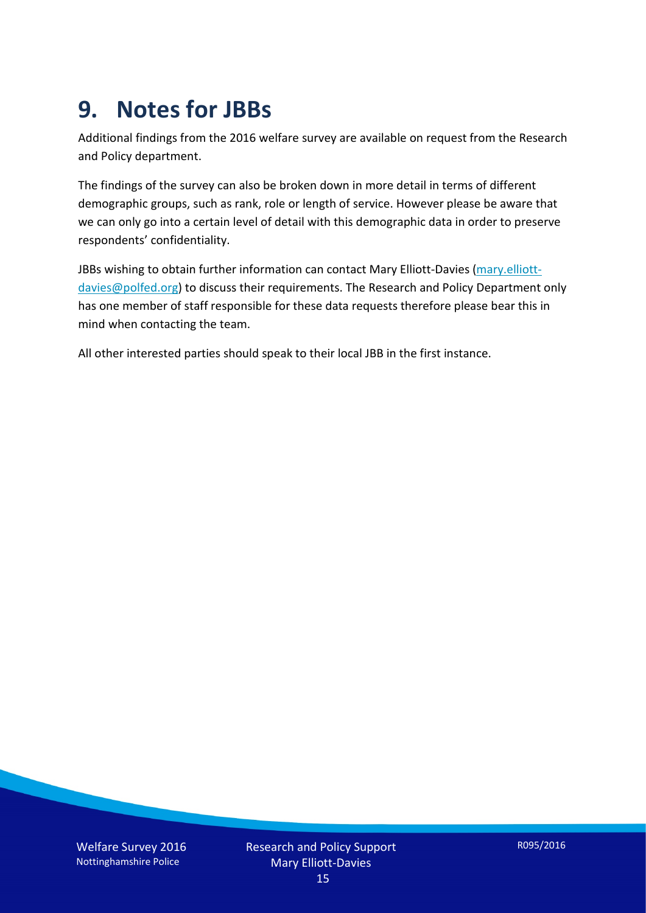## **9. Notes for JBBs**

Additional findings from the 2016 welfare survey are available on request from the Research and Policy department.

The findings of the survey can also be broken down in more detail in terms of different demographic groups, such as rank, role or length of service. However please be aware that we can only go into a certain level of detail with this demographic data in order to preserve respondents' confidentiality.

JBBs wishing to obtain further information can contact Mary Elliott-Davies [\(mary.elliott](mailto:mary.elliott-davies@polfed.org)[davies@polfed.org\)](mailto:mary.elliott-davies@polfed.org) to discuss their requirements. The Research and Policy Department only has one member of staff responsible for these data requests therefore please bear this in mind when contacting the team.

All other interested parties should speak to their local JBB in the first instance.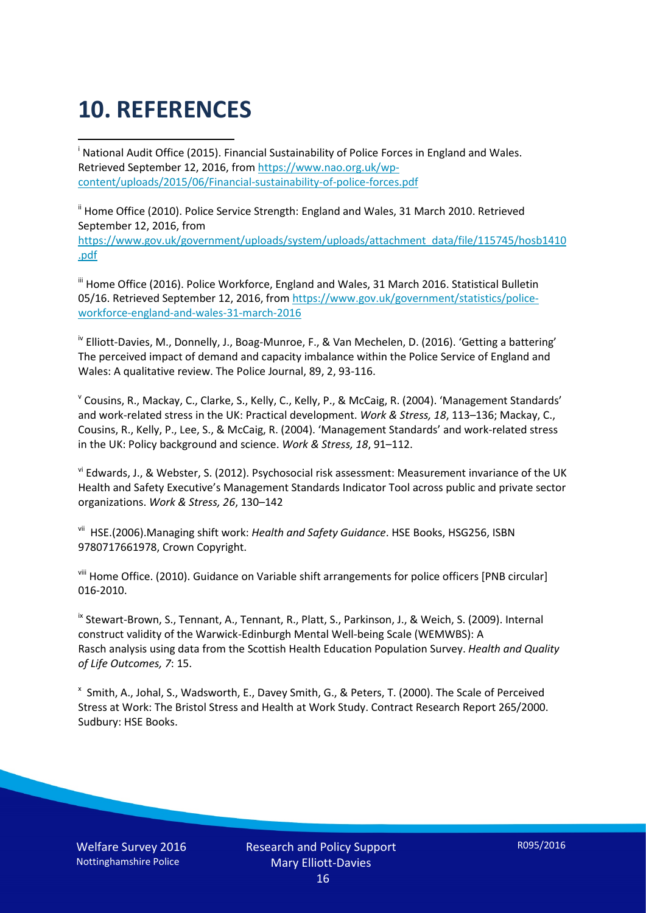# **10. REFERENCES**

<span id="page-15-0"></span>i National Audit Office (2015). Financial Sustainability of Police Forces in England and Wales. Retrieved September 12, 2016, fro[m https://www.nao.org.uk/wp](https://www.nao.org.uk/wp-content/uploads/2015/06/Financial-sustainability-of-police-forces.pdf)[content/uploads/2015/06/Financial-sustainability-of-police-forces.pdf](https://www.nao.org.uk/wp-content/uploads/2015/06/Financial-sustainability-of-police-forces.pdf)

<span id="page-15-1"></span><sup>ii</sup> Home Office (2010). Police Service Strength: England and Wales, 31 March 2010. Retrieved September 12, 2016, from [https://www.gov.uk/government/uploads/system/uploads/attachment\\_data/file/115745/hosb1410](https://www.gov.uk/government/uploads/system/uploads/attachment_data/file/115745/hosb1410.pdf) [.pdf](https://www.gov.uk/government/uploads/system/uploads/attachment_data/file/115745/hosb1410.pdf)

<span id="page-15-2"></span><sup>iii</sup> Home Office (2016). Police Workforce, England and Wales, 31 March 2016. Statistical Bulletin 05/16. Retrieved September 12, 2016, fro[m https://www.gov.uk/government/statistics/police](https://www.gov.uk/government/statistics/police-workforce-england-and-wales-31-march-2016)[workforce-england-and-wales-31-march-2016](https://www.gov.uk/government/statistics/police-workforce-england-and-wales-31-march-2016)

<span id="page-15-3"></span><sup>iv</sup> Elliott-Davies, M., Donnelly, J., Boag-Munroe, F., & Van Mechelen, D. (2016). 'Getting a battering' The perceived impact of demand and capacity imbalance within the Police Service of England and Wales: A qualitative review. The Police Journal, 89, 2, 93-116.

<span id="page-15-4"></span><sup>v</sup> Cousins, R., Mackay, C., Clarke, S., Kelly, C., Kelly, P., & McCaig, R. (2004). 'Management Standards' and work-related stress in the UK: Practical development. *Work & Stress, 18*, 113–136; Mackay, C., Cousins, R., Kelly, P., Lee, S., & McCaig, R. (2004). 'Management Standards' and work-related stress in the UK: Policy background and science. *Work & Stress, 18*, 91–112.

<span id="page-15-5"></span>vi Edwards, J., & Webster, S. (2012). Psychosocial risk assessment: Measurement invariance of the UK Health and Safety Executive's Management Standards Indicator Tool across public and private sector organizations. *Work & Stress, 26*, 130–142

<span id="page-15-6"></span>vii HSE.(2006).Managing shift work: *Health and Safety Guidance*. HSE Books, HSG256, ISBN 9780717661978, Crown Copyright.

<span id="page-15-7"></span>viii Home Office. (2010). Guidance on Variable shift arrangements for police officers [PNB circular] 016-2010.

<span id="page-15-8"></span><sup>ix</sup> Stewart-Brown, S., Tennant, A., Tennant, R., Platt, S., Parkinson, J., & Weich, S. (2009). Internal construct validity of the Warwick-Edinburgh Mental Well-being Scale (WEMWBS): A Rasch analysis using data from the Scottish Health Education Population Survey. *Health and Quality of Life Outcomes, 7*: 15.

<span id="page-15-9"></span>x Smith, A., Johal, S., Wadsworth, E., Davey Smith, G., & Peters, T. (2000). The Scale of Perceived Stress at Work: The Bristol Stress and Health at Work Study. Contract Research Report 265/2000. Sudbury: HSE Books.